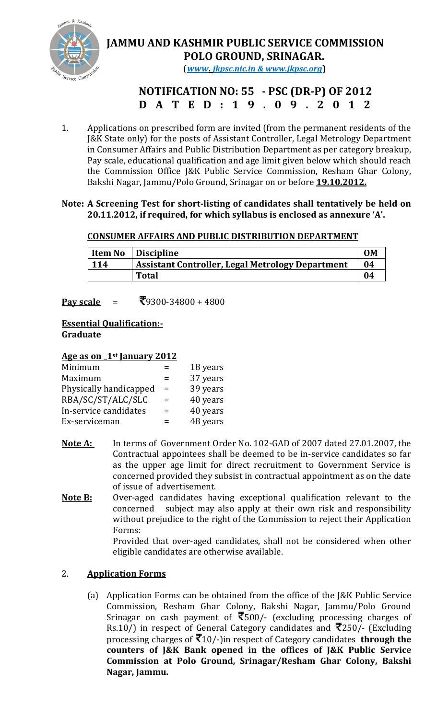

# JAMMU AND KASHMIR PUBLIC SERVICE COMMISSION POLO GROUND, SRINAGAR.

(www. jkpsc.nic.in & www.jkpsc.org)

## NOTIFICATION NO: 55 - PSC (DR-P) OF 2012 D A T E D : 1 9 . 0 9 . 2 0 1 2

1. Applications on prescribed form are invited (from the permanent residents of the J&K State only) for the posts of Assistant Controller, Legal Metrology Department in Consumer Affairs and Public Distribution Department as per category breakup, Pay scale, educational qualification and age limit given below which should reach the Commission Office J&K Public Service Commission, Resham Ghar Colony, Bakshi Nagar, Jammu/Polo Ground, Srinagar on or before **19.10.2012.** 

### Note: A Screening Test for short-listing of candidates shall tentatively be held on 20.11.2012, if required, for which syllabus is enclosed as annexure 'A'.

## CONSUMER AFFAIRS AND PUBLIC DISTRIBUTION DEPARTMENT

| <b>Item No</b> | <b>Discipline</b>                                       | <b>OM</b> |
|----------------|---------------------------------------------------------|-----------|
| $\vert$ 114    | <b>Assistant Controller, Legal Metrology Department</b> | 04        |
|                | <b>Total</b>                                            | 04        |

**Pay scale** =  $\sqrt[3]{9300-34800+4800}$ 

#### Essential Qualification:- Graduate

### Age as on 1<sup>st</sup> January 2012

|     | 18 years |
|-----|----------|
| $=$ | 37 years |
| $=$ | 39 years |
| $=$ | 40 years |
| $=$ | 40 years |
| $=$ | 48 years |
|     |          |

- Note A: In terms of Government Order No. 102-GAD of 2007 dated 27.01.2007, the Contractual appointees shall be deemed to be in-service candidates so far as the upper age limit for direct recruitment to Government Service is concerned provided they subsist in contractual appointment as on the date of issue of advertisement.
- Note B: Over-aged candidates having exceptional qualification relevant to the concerned subject may also apply at their own risk and responsibility without prejudice to the right of the Commission to reject their Application Forms: Provided that over-aged candidates, shall not be considered when other

eligible candidates are otherwise available.

## 2. Application Forms

(a) Application Forms can be obtained from the office of the J&K Public Service Commission, Resham Ghar Colony, Bakshi Nagar, Jammu/Polo Ground Srinagar on cash payment of  $\overline{\xi}500$ /- (excluding processing charges of Rs.10/) in respect of General Category candidates and  $\bar{\mathcal{R}}$ 250/- (Excluding processing charges of  $\bar{\mathcal{F}}$ 10/-)in respect of Category candidates **through the** counters of J&K Bank opened in the offices of J&K Public Service Commission at Polo Ground, Srinagar/Resham Ghar Colony, Bakshi Nagar, Jammu.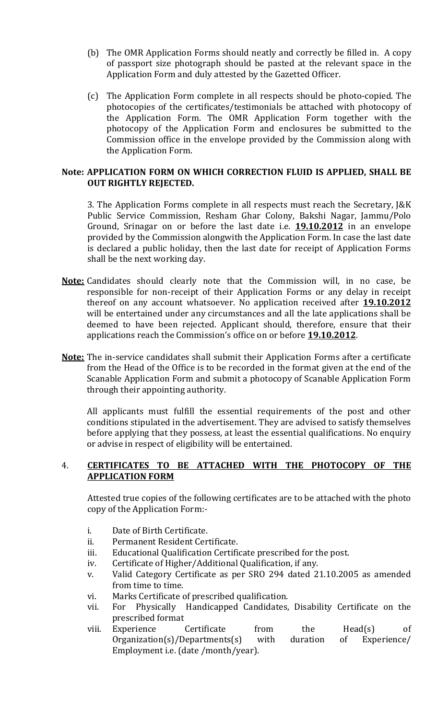- (b) The OMR Application Forms should neatly and correctly be filled in. A copy of passport size photograph should be pasted at the relevant space in the Application Form and duly attested by the Gazetted Officer.
- (c) The Application Form complete in all respects should be photo-copied. The photocopies of the certificates/testimonials be attached with photocopy of the Application Form. The OMR Application Form together with the photocopy of the Application Form and enclosures be submitted to the Commission office in the envelope provided by the Commission along with the Application Form.

#### Note: APPLICATION FORM ON WHICH CORRECTION FLUID IS APPLIED, SHALL BE OUT RIGHTLY REJECTED.

 3. The Application Forms complete in all respects must reach the Secretary, J&K Public Service Commission, Resham Ghar Colony, Bakshi Nagar, Jammu/Polo Ground, Srinagar on or before the last date i.e. **19.10.2012** in an envelope provided by the Commission alongwith the Application Form. In case the last date is declared a public holiday, then the last date for receipt of Application Forms shall be the next working day.

- Note: Candidates should clearly note that the Commission will, in no case, be responsible for non-receipt of their Application Forms or any delay in receipt thereof on any account whatsoever. No application received after **19.10.2012** will be entertained under any circumstances and all the late applications shall be deemed to have been rejected. Applicant should, therefore, ensure that their applications reach the Commission's office on or before 19.10.2012.
- Note: The in-service candidates shall submit their Application Forms after a certificate from the Head of the Office is to be recorded in the format given at the end of the Scanable Application Form and submit a photocopy of Scanable Application Form through their appointing authority.

 All applicants must fulfill the essential requirements of the post and other conditions stipulated in the advertisement. They are advised to satisfy themselves before applying that they possess, at least the essential qualifications. No enquiry or advise in respect of eligibility will be entertained.

#### 4. CERTIFICATES TO BE ATTACHED WITH THE PHOTOCOPY OF THE APPLICATION FORM

Attested true copies of the following certificates are to be attached with the photo copy of the Application Form:-

- i. Date of Birth Certificate.
- ii. Permanent Resident Certificate.
- iii. Educational Qualification Certificate prescribed for the post.
- iv. Certificate of Higher/Additional Qualification, if any.
- v. Valid Category Certificate as per SRO 294 dated 21.10.2005 as amended from time to time.
- vi. Marks Certificate of prescribed qualification.
- vii. For Physically Handicapped Candidates, Disability Certificate on the prescribed format
- viii. Experience Certificate from the Head(s) of Organization(s)/Departments(s) with duration of Experience/ Employment i.e. (date /month/year).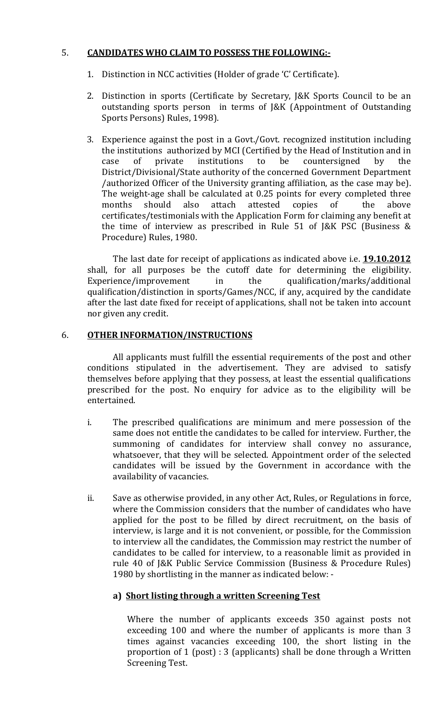### 5. CANDIDATES WHO CLAIM TO POSSESS THE FOLLOWING:-

- 1. Distinction in NCC activities (Holder of grade 'C' Certificate).
- 2. Distinction in sports (Certificate by Secretary, J&K Sports Council to be an outstanding sports person in terms of J&K (Appointment of Outstanding Sports Persons) Rules, 1998).
- 3. Experience against the post in a Govt./Govt. recognized institution including the institutions authorized by MCI (Certified by the Head of Institution and in case of private institutions to be countersigned by the District/Divisional/State authority of the concerned Government Department /authorized Officer of the University granting affiliation, as the case may be). The weight-age shall be calculated at 0.25 points for every completed three months should also attach attested copies of the above certificates/testimonials with the Application Form for claiming any benefit at the time of interview as prescribed in Rule 51 of J&K PSC (Business & Procedure) Rules, 1980.

The last date for receipt of applications as indicated above i.e. **19.10.2012** shall, for all purposes be the cutoff date for determining the eligibility. Experience/improvement in the qualification/marks/additional qualification/distinction in sports/Games/NCC, if any, acquired by the candidate after the last date fixed for receipt of applications, shall not be taken into account nor given any credit.

#### 6. OTHER INFORMATION/INSTRUCTIONS

All applicants must fulfill the essential requirements of the post and other conditions stipulated in the advertisement. They are advised to satisfy themselves before applying that they possess, at least the essential qualifications prescribed for the post. No enquiry for advice as to the eligibility will be entertained.

- i. The prescribed qualifications are minimum and mere possession of the same does not entitle the candidates to be called for interview. Further, the summoning of candidates for interview shall convey no assurance, whatsoever, that they will be selected. Appointment order of the selected candidates will be issued by the Government in accordance with the availability of vacancies.
- ii. Save as otherwise provided, in any other Act, Rules, or Regulations in force, where the Commission considers that the number of candidates who have applied for the post to be filled by direct recruitment, on the basis of interview, is large and it is not convenient, or possible, for the Commission to interview all the candidates, the Commission may restrict the number of candidates to be called for interview, to a reasonable limit as provided in rule 40 of J&K Public Service Commission (Business & Procedure Rules) 1980 by shortlisting in the manner as indicated below: -

### a) Short listing through a written Screening Test

Where the number of applicants exceeds 350 against posts not exceeding 100 and where the number of applicants is more than 3 times against vacancies exceeding 100, the short listing in the proportion of 1 (post) : 3 (applicants) shall be done through a Written Screening Test.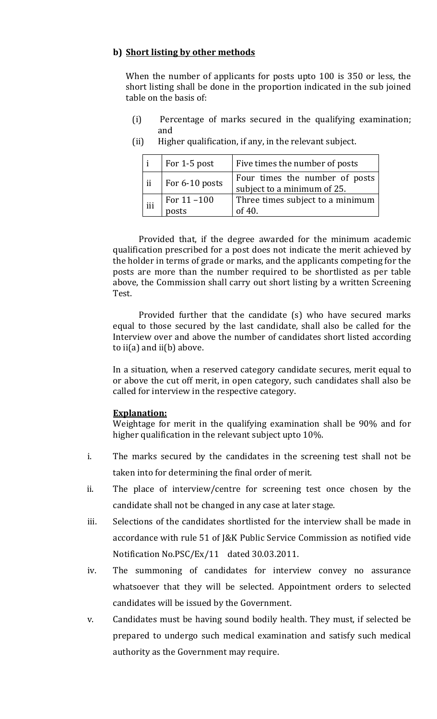### b) Short listing by other methods

When the number of applicants for posts upto 100 is 350 or less, the short listing shall be done in the proportion indicated in the sub joined table on the basis of:

- (i) Percentage of marks secured in the qualifying examination; and
	- $i$  | For 1-5 post | Five times the number of posts ii  $\left| \begin{array}{c} \text{For } 6{\text -}10 \text{ posts} \end{array} \right|$  Four times the number of posts subject to a minimum of 25. iii | For  $11 - 100$ posts Three times subject to a minimum of 40.
- (ii) Higher qualification, if any, in the relevant subject.

Provided that, if the degree awarded for the minimum academic qualification prescribed for a post does not indicate the merit achieved by the holder in terms of grade or marks, and the applicants competing for the posts are more than the number required to be shortlisted as per table above, the Commission shall carry out short listing by a written Screening Test.

Provided further that the candidate (s) who have secured marks equal to those secured by the last candidate, shall also be called for the Interview over and above the number of candidates short listed according to  $i(a)$  and  $i(b)$  above.

In a situation, when a reserved category candidate secures, merit equal to or above the cut off merit, in open category, such candidates shall also be called for interview in the respective category.

#### Explanation:

Weightage for merit in the qualifying examination shall be 90% and for higher qualification in the relevant subject upto 10%.

- i. The marks secured by the candidates in the screening test shall not be taken into for determining the final order of merit.
- ii. The place of interview/centre for screening test once chosen by the candidate shall not be changed in any case at later stage.
- iii. Selections of the candidates shortlisted for the interview shall be made in accordance with rule 51 of J&K Public Service Commission as notified vide Notification No.PSC/Ex/11 dated 30.03.2011.
- iv. The summoning of candidates for interview convey no assurance whatsoever that they will be selected. Appointment orders to selected candidates will be issued by the Government.
- v. Candidates must be having sound bodily health. They must, if selected be prepared to undergo such medical examination and satisfy such medical authority as the Government may require.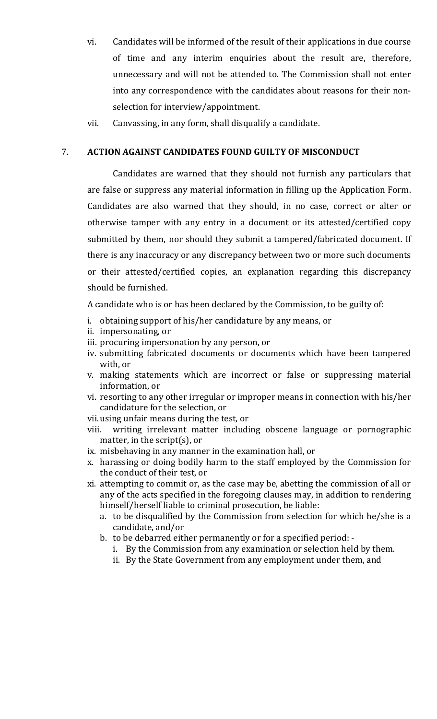- vi. Candidates will be informed of the result of their applications in due course of time and any interim enquiries about the result are, therefore, unnecessary and will not be attended to. The Commission shall not enter into any correspondence with the candidates about reasons for their nonselection for interview/appointment.
- vii. Canvassing, in any form, shall disqualify a candidate.

#### 7. ACTION AGAINST CANDIDATES FOUND GUILTY OF MISCONDUCT

Candidates are warned that they should not furnish any particulars that are false or suppress any material information in filling up the Application Form. Candidates are also warned that they should, in no case, correct or alter or otherwise tamper with any entry in a document or its attested/certified copy submitted by them, nor should they submit a tampered/fabricated document. If there is any inaccuracy or any discrepancy between two or more such documents or their attested/certified copies, an explanation regarding this discrepancy should be furnished.

A candidate who is or has been declared by the Commission, to be guilty of:

- i. obtaining support of his/her candidature by any means, or
- ii. impersonating, or
- iii. procuring impersonation by any person, or
- iv. submitting fabricated documents or documents which have been tampered with, or
- v. making statements which are incorrect or false or suppressing material information, or
- vi. resorting to any other irregular or improper means in connection with his/her candidature for the selection, or
- vii. using unfair means during the test, or
- viii. writing irrelevant matter including obscene language or pornographic matter, in the script(s), or
- ix. misbehaving in any manner in the examination hall, or
- x. harassing or doing bodily harm to the staff employed by the Commission for the conduct of their test, or
- xi. attempting to commit or, as the case may be, abetting the commission of all or any of the acts specified in the foregoing clauses may, in addition to rendering himself/herself liable to criminal prosecution, be liable:
	- a. to be disqualified by the Commission from selection for which he/she is a candidate, and/or
	- b. to be debarred either permanently or for a specified period:
		- i. By the Commission from any examination or selection held by them.
		- ii. By the State Government from any employment under them, and